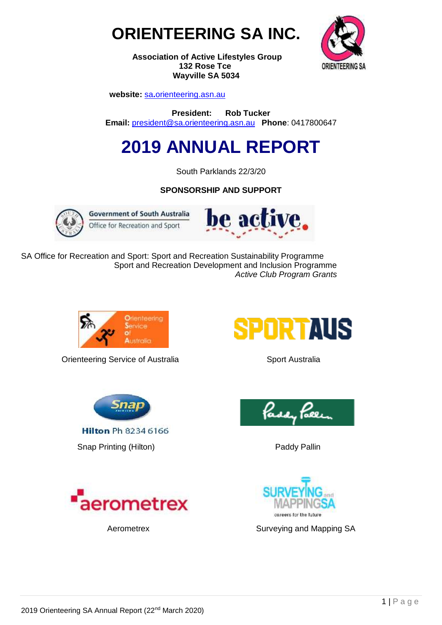



**Association of Active Lifestyles Group 132 Rose Tce Wayville SA 5034**

 **website:** sa**.**[orienteering.asn.au](http://www.sa.orienteering.asn.au/)

**President: Rob Tucker Email:** [president@sa.orienteering.asn.au](mailto:president@sa.orienteering.asn.au) **Phone**: 0417800647

# **2019 ANNUAL REPORT**

South Parklands 22/3/20

**SPONSORSHIP AND SUPPORT**



**Government of South Australia** Office for Recreation and Sport



SA Office for Recreation and Sport: Sport and Recreation Sustainability Programme Sport and Recreation Development and Inclusion Programme  *Active Club Program Grants*



**Orienteering Service of Australia** *Sport Australia* 



**Hilton Ph 8234 6166** 

Snap Printing (Hilton) **Paddy Pallin** Paddy Pallin









Aerometrex **Surveying and Mapping SA**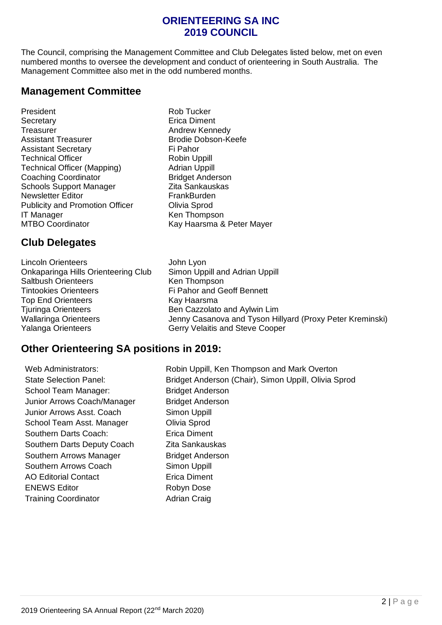## **ORIENTEERING SA INC 2019 COUNCIL**

The Council, comprising the Management Committee and Club Delegates listed below, met on even numbered months to oversee the development and conduct of orienteering in South Australia. The Management Committee also met in the odd numbered months.

## **Management Committee**

- President **Rob** Tucker Secretary **Execution Contract Secretary** Erica Diment Treasurer **Andrew Kennedy** Assistant Treasurer **Brodie Dobson-Keefe** Assistant Secretary **Fi** Pahor Technical Officer **Technical Officer Robin Uppill** Technical Officer (Mapping) **Adrian Uppill Coaching Coordinator** Bridget Anderson<br>
Schools Support Manager<br>
7ita Sankauskas Schools Support Manager Newsletter Editor **FrankBurden** Publicity and Promotion Officer **Olivia Sprod** IT Manager **Ken Thompson** MTBO Coordinator Kay Haarsma & Peter Mayer
	-

## **Club Delegates**

Lincoln Orienteers John Lyon Onkaparinga Hills Orienteering Club Simon Uppill and Adrian Uppill Saltbush Orienteers Ken Thompson Tintookies Orienteers Fi Pahor and Geoff Bennett Top End Orienteers **Kay Haarsma** Tiuringa Orienteers **Ben Cazzolato and Aylwin Lim** Yalanga Orienteers Gerry Velaitis and Steve Cooper

Wallaringa Orienteers Jenny Casanova and Tyson Hillyard (Proxy Peter Kreminski)

## **Other Orienteering SA positions in 2019:**

School Team Manager: Bridget Anderson Junior Arrows Coach/Manager Bridget Anderson Junior Arrows Asst. Coach Simon Uppill School Team Asst. Manager **Olivia Sprod** Southern Darts Coach: Erica Diment Southern Darts Deputy Coach Zita Sankauskas Southern Arrows Manager Bridget Anderson Southern Arrows Coach AO Editorial Contact ENEWS Editor Training Coordinator

Web Administrators: Robin Uppill, Ken Thompson and Mark Overton State Selection Panel: Bridget Anderson (Chair), Simon Uppill, Olivia Sprod Simon Uppill Erica Diment Robyn Dose Adrian Craig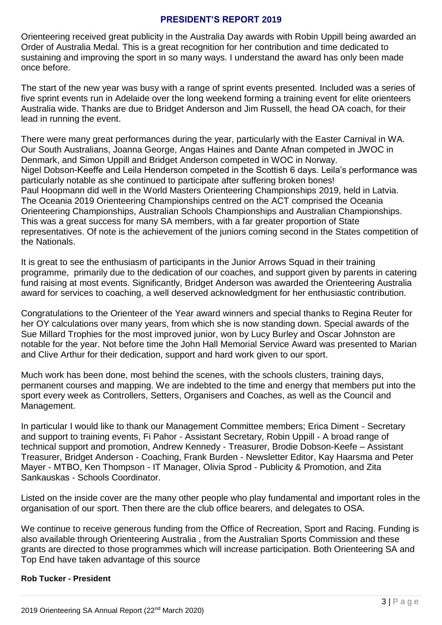#### **PRESIDENT'S REPORT 2019**

Orienteering received great publicity in the Australia Day awards with Robin Uppill being awarded an Order of Australia Medal. This is a great recognition for her contribution and time dedicated to sustaining and improving the sport in so many ways. I understand the award has only been made once before.

The start of the new year was busy with a range of sprint events presented. Included was a series of five sprint events run in Adelaide over the long weekend forming a training event for elite orienteers Australia wide. Thanks are due to Bridget Anderson and Jim Russell, the head OA coach, for their lead in running the event.

There were many great performances during the year, particularly with the Easter Carnival in WA. Our South Australians, Joanna George, Angas Haines and Dante Afnan competed in JWOC in Denmark, and Simon Uppill and Bridget Anderson competed in WOC in Norway. Nigel Dobson-Keeffe and Leila Henderson competed in the Scottish 6 days. Leila's performance was particularly notable as she continued to participate after suffering broken bones! Paul Hoopmann did well in the World Masters Orienteering Championships 2019, held in Latvia. The Oceania 2019 Orienteering Championships centred on the ACT comprised the Oceania Orienteering Championships, Australian Schools Championships and Australian Championships. This was a great success for many SA members, with a far greater proportion of State representatives. Of note is the achievement of the juniors coming second in the States competition of the Nationals.

It is great to see the enthusiasm of participants in the Junior Arrows Squad in their training programme, primarily due to the dedication of our coaches, and support given by parents in catering fund raising at most events. Significantly, Bridget Anderson was awarded the Orienteering Australia award for services to coaching, a well deserved acknowledgment for her enthusiastic contribution.

Congratulations to the Orienteer of the Year award winners and special thanks to Regina Reuter for her OY calculations over many years, from which she is now standing down. Special awards of the Sue Millard Trophies for the most improved junior, won by Lucy Burley and Oscar Johnston are notable for the year. Not before time the John Hall Memorial Service Award was presented to Marian and Clive Arthur for their dedication, support and hard work given to our sport.

Much work has been done, most behind the scenes, with the schools clusters, training days, permanent courses and mapping. We are indebted to the time and energy that members put into the sport every week as Controllers, Setters, Organisers and Coaches, as well as the Council and Management.

In particular I would like to thank our Management Committee members; Erica Diment - Secretary and support to training events, Fi Pahor - Assistant Secretary, Robin Uppill - A broad range of technical support and promotion, Andrew Kennedy - Treasurer, Brodie Dobson-Keefe – Assistant Treasurer, Bridget Anderson - Coaching, Frank Burden - Newsletter Editor, Kay Haarsma and Peter Mayer - MTBO, Ken Thompson - IT Manager, Olivia Sprod - Publicity & Promotion, and Zita Sankauskas - Schools Coordinator.

Listed on the inside cover are the many other people who play fundamental and important roles in the organisation of our sport. Then there are the club office bearers, and delegates to OSA.

We continue to receive generous funding from the Office of Recreation, Sport and Racing. Funding is also available through Orienteering Australia , from the Australian Sports Commission and these grants are directed to those programmes which will increase participation. Both Orienteering SA and Top End have taken advantage of this source

#### **Rob Tucker - President**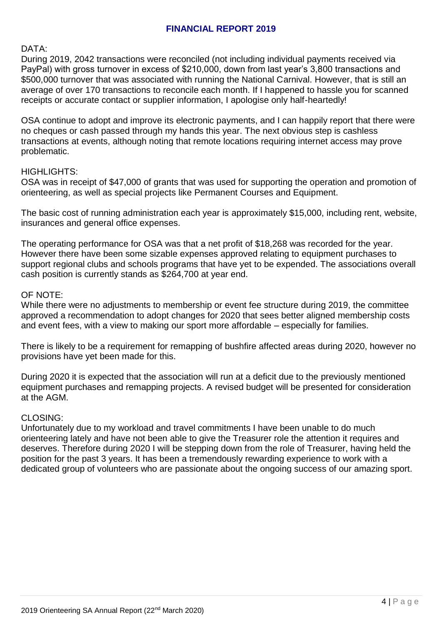#### **FINANCIAL REPORT 2019**

DATA:

During 2019, 2042 transactions were reconciled (not including individual payments received via PayPal) with gross turnover in excess of \$210,000, down from last year's 3,800 transactions and \$500,000 turnover that was associated with running the National Carnival. However, that is still an average of over 170 transactions to reconcile each month. If I happened to hassle you for scanned receipts or accurate contact or supplier information, I apologise only half-heartedly!

OSA continue to adopt and improve its electronic payments, and I can happily report that there were no cheques or cash passed through my hands this year. The next obvious step is cashless transactions at events, although noting that remote locations requiring internet access may prove problematic.

#### HIGHLIGHTS:

OSA was in receipt of \$47,000 of grants that was used for supporting the operation and promotion of orienteering, as well as special projects like Permanent Courses and Equipment.

The basic cost of running administration each year is approximately \$15,000, including rent, website, insurances and general office expenses.

The operating performance for OSA was that a net profit of \$18,268 was recorded for the year. However there have been some sizable expenses approved relating to equipment purchases to support regional clubs and schools programs that have yet to be expended. The associations overall cash position is currently stands as \$264,700 at year end.

#### OF NOTE:

While there were no adjustments to membership or event fee structure during 2019, the committee approved a recommendation to adopt changes for 2020 that sees better aligned membership costs and event fees, with a view to making our sport more affordable – especially for families.

There is likely to be a requirement for remapping of bushfire affected areas during 2020, however no provisions have yet been made for this.

During 2020 it is expected that the association will run at a deficit due to the previously mentioned equipment purchases and remapping projects. A revised budget will be presented for consideration at the AGM.

#### CLOSING:

Unfortunately due to my workload and travel commitments I have been unable to do much orienteering lately and have not been able to give the Treasurer role the attention it requires and deserves. Therefore during 2020 I will be stepping down from the role of Treasurer, having held the position for the past 3 years. It has been a tremendously rewarding experience to work with a dedicated group of volunteers who are passionate about the ongoing success of our amazing sport.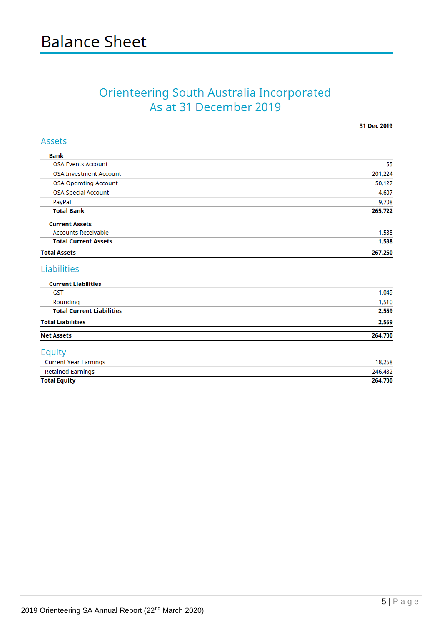# Orienteering South Australia Incorporated<br>As at 31 December 2019

Assets

31 Dec 2019

| <b>Total Assets</b>           | 267,260 |
|-------------------------------|---------|
| <b>Total Current Assets</b>   | 1,538   |
| <b>Accounts Receivable</b>    | 1,538   |
| <b>Current Assets</b>         |         |
| <b>Total Bank</b>             | 265,722 |
| PayPal                        | 9,708   |
| <b>OSA Special Account</b>    | 4,607   |
| <b>OSA Operating Account</b>  | 50,127  |
| <b>OSA Investment Account</b> | 201,224 |
| <b>OSA Events Account</b>     | 55      |

#### Liabilities

| <b>Current Liabilities</b>       |         |
|----------------------------------|---------|
| <b>GST</b>                       | 1,049   |
| Rounding                         | 1,510   |
| <b>Total Current Liabilities</b> | 2,559   |
| <b>Total Liabilities</b>         | 2,559   |
| <b>Net Assets</b>                | 264,700 |
| Equity                           |         |
| <b>Current Year Earnings</b>     | 18,268  |
| <b>Retained Earnings</b>         | 246,432 |
| <b>Total Equity</b>              | 264,700 |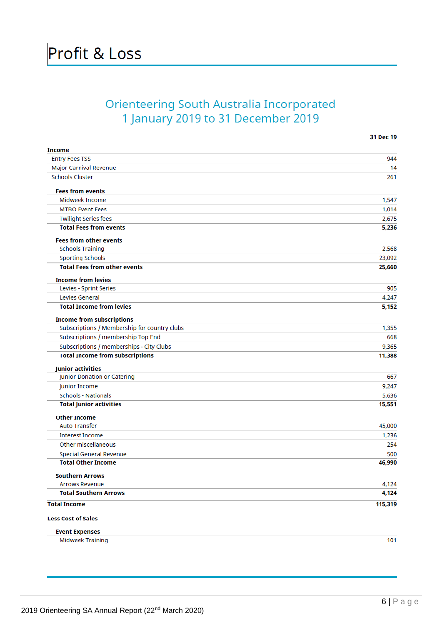# **Orienteering South Australia Incorporated** 1 January 2019 to 31 December 2019

| <b>Income</b>                                |         |
|----------------------------------------------|---------|
| <b>Entry Fees TSS</b>                        | 944     |
| Major Carnival Revenue                       | 14      |
| <b>Schools Cluster</b>                       | 261     |
| <b>Fees from events</b>                      |         |
| Midweek Income                               | 1,547   |
| <b>MTBO Event Fees</b>                       | 1,014   |
| <b>Twilight Series fees</b>                  | 2,675   |
| <b>Total Fees from events</b>                | 5,236   |
| <b>Fees from other events</b>                |         |
| <b>Schools Training</b>                      | 2,568   |
| <b>Sporting Schools</b>                      | 23,092  |
| <b>Total Fees from other events</b>          | 25,660  |
| <b>Income from levies</b>                    |         |
| Levies - Sprint Series                       | 905     |
| Levies General                               | 4,247   |
| <b>Total Income from levies</b>              | 5,152   |
| <b>Income from subscriptions</b>             |         |
| Subscriptions / Membership for country clubs | 1,355   |
| Subscriptions / membership Top End           | 668     |
| Subscriptions / memberships - City Clubs     | 9,365   |
| <b>Total Income from subscriptions</b>       | 11,388  |
| <b>Junior activities</b>                     |         |
| Junior Donation or Catering                  | 667     |
| Junior Income                                | 9,247   |
| <b>Schools - Nationals</b>                   | 5,636   |
| <b>Total Junior activities</b>               | 15,551  |
| <b>Other Income</b>                          |         |
| <b>Auto Transfer</b>                         | 45,000  |
| <b>Interest Income</b>                       | 1,236   |
| Other miscellaneous                          | 254     |
| Special General Revenue                      | 500     |
| <b>Total Other Income</b>                    | 46,990  |
| <b>Southern Arrows</b>                       |         |
| <b>Arrows Revenue</b>                        | 4,124   |
| <b>Total Southern Arrows</b>                 | 4,124   |
| <b>Total Income</b>                          | 115,319 |
| <b>Less Cost of Sales</b>                    |         |
| <b>Event Expenses</b>                        |         |
| <b>Midweek Training</b>                      | 101     |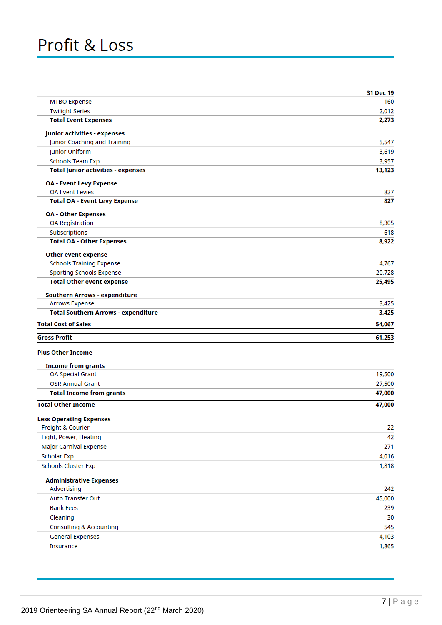# Profit & Loss

|                                               | 31 Dec 19 |
|-----------------------------------------------|-----------|
| <b>MTBO Expense</b>                           | 160       |
| <b>Twilight Series</b>                        | 2,012     |
| <b>Total Event Expenses</b>                   | 2,273     |
| <b>Junior activities - expenses</b>           |           |
| Junior Coaching and Training                  | 5,547     |
| Junior Uniform                                | 3,619     |
| <b>Schools Team Exp</b>                       | 3,957     |
| <b>Total Junior activities - expenses</b>     | 13,123    |
| <b>OA - Event Levy Expense</b>                |           |
| <b>OA Event Levies</b>                        | 827       |
| <b>Total OA - Event Levy Expense</b>          | 827       |
| <b>OA - Other Expenses</b>                    |           |
| OA Registration                               | 8,305     |
| Subscriptions                                 | 618       |
| <b>Total OA - Other Expenses</b>              | 8,922     |
| <b>Other event expense</b>                    |           |
| <b>Schools Training Expense</b>               | 4,767     |
| <b>Sporting Schools Expense</b>               | 20,728    |
| <b>Total Other event expense</b>              | 25,495    |
| <b>Southern Arrows - expenditure</b>          |           |
| <b>Arrows Expense</b>                         | 3,425     |
| <b>Total Southern Arrows - expenditure</b>    | 3,425     |
| <b>Total Cost of Sales</b>                    | 54,067    |
| <b>Gross Profit</b>                           | 61,253    |
|                                               |           |
| <b>Plus Other Income</b>                      |           |
| <b>Income from grants</b>                     |           |
| OA Special Grant                              | 19,500    |
| <b>OSR Annual Grant</b>                       | 27,500    |
| <b>Total Income from grants</b>               | 47,000    |
| <b>Total Other Income</b>                     | 47,000    |
| <b>Less Operating Expenses</b>                |           |
| Freight & Courier                             | 22        |
| Light, Power, Heating                         | 42        |
| Major Carnival Expense                        | 271       |
| <b>Scholar Exp</b>                            | 4,016     |
| <b>Schools Cluster Exp</b>                    | 1,818     |
|                                               |           |
| <b>Administrative Expenses</b><br>Advertising | 242       |
| Auto Transfer Out                             | 45,000    |
| <b>Bank Fees</b>                              | 239       |
| Cleaning                                      | 30        |
| <b>Consulting &amp; Accounting</b>            | 545       |
| <b>General Expenses</b>                       | 4,103     |
| Insurance                                     | 1,865     |
|                                               |           |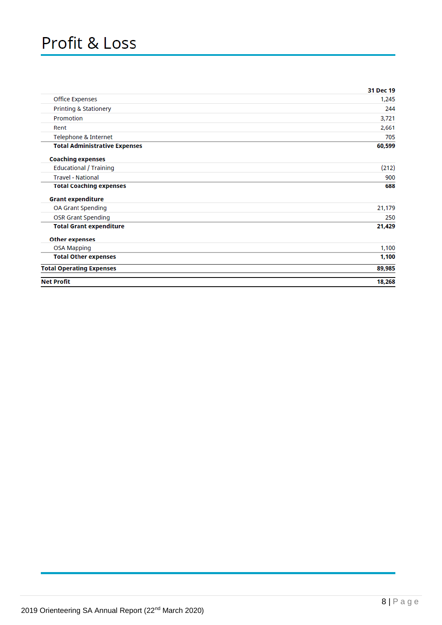# Profit & Loss

|                                      | 31 Dec 19 |
|--------------------------------------|-----------|
| <b>Office Expenses</b>               | 1,245     |
| Printing & Stationery                | 244       |
| Promotion                            | 3,721     |
| Rent                                 | 2,661     |
| Telephone & Internet                 | 705       |
| <b>Total Administrative Expenses</b> | 60,599    |
| <b>Coaching expenses</b>             |           |
| <b>Educational / Training</b>        | (212)     |
| <b>Travel - National</b>             | 900       |
| <b>Total Coaching expenses</b>       | 688       |
| <b>Grant expenditure</b>             |           |
| OA Grant Spending                    | 21,179    |
| <b>OSR Grant Spending</b>            | 250       |
| <b>Total Grant expenditure</b>       | 21,429    |
| <b>Other expenses</b>                |           |
| <b>OSA Mapping</b>                   | 1,100     |
| <b>Total Other expenses</b>          | 1,100     |
| <b>Total Operating Expenses</b>      | 89,985    |
| <b>Net Profit</b>                    | 18,268    |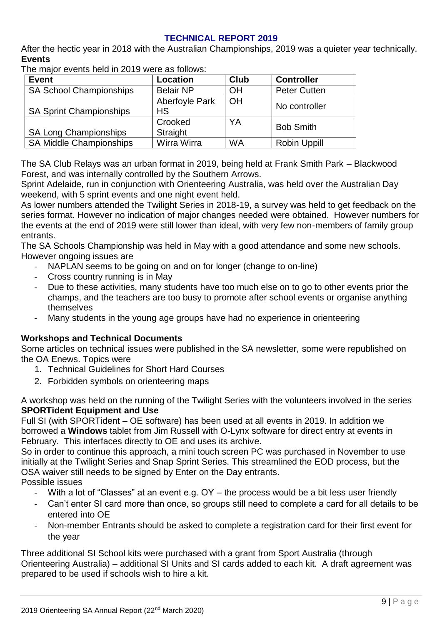#### **TECHNICAL REPORT 2019**

After the hectic year in 2018 with the Australian Championships, 2019 was a quieter year technically. **Events** 

The major events held in 2019 were as follows:

| <b>Event</b>                   | Location                           | <b>Club</b> | <b>Controller</b>   |
|--------------------------------|------------------------------------|-------------|---------------------|
| <b>SA School Championships</b> | <b>Belair NP</b>                   | ΟH          | <b>Peter Cutten</b> |
| <b>SA Sprint Championships</b> | <b>Aberfoyle Park</b><br><b>HS</b> | OH          | No controller       |
| <b>SA Long Championships</b>   | Crooked<br>Straight                | YA          | <b>Bob Smith</b>    |
| <b>SA Middle Championships</b> | Wirra Wirra                        | <b>WA</b>   | <b>Robin Uppill</b> |

The SA Club Relays was an urban format in 2019, being held at Frank Smith Park – Blackwood Forest, and was internally controlled by the Southern Arrows.

Sprint Adelaide, run in conjunction with Orienteering Australia, was held over the Australian Day weekend, with 5 sprint events and one night event held.

As lower numbers attended the Twilight Series in 2018-19, a survey was held to get feedback on the series format. However no indication of major changes needed were obtained. However numbers for the events at the end of 2019 were still lower than ideal, with very few non-members of family group entrants.

The SA Schools Championship was held in May with a good attendance and some new schools. However ongoing issues are

- NAPLAN seems to be going on and on for longer (change to on-line)
- Cross country running is in May
- Due to these activities, many students have too much else on to go to other events prior the champs, and the teachers are too busy to promote after school events or organise anything themselves
- Many students in the young age groups have had no experience in orienteering

#### **Workshops and Technical Documents**

Some articles on technical issues were published in the SA newsletter, some were republished on the OA Enews. Topics were

- 1. Technical Guidelines for Short Hard Courses
- 2. Forbidden symbols on orienteering maps

A workshop was held on the running of the Twilight Series with the volunteers involved in the series **SPORTident Equipment and Use**

Full SI (with SPORTident – OE software) has been used at all events in 2019. In addition we borrowed a **Windows** tablet from Jim Russell with O-Lynx software for direct entry at events in February. This interfaces directly to OE and uses its archive.

So in order to continue this approach, a mini touch screen PC was purchased in November to use initially at the Twilight Series and Snap Sprint Series. This streamlined the EOD process, but the OSA waiver still needs to be signed by Enter on the Day entrants.

- Possible issues
	- With a lot of "Classes" at an event e.g. OY the process would be a bit less user friendly
	- Can't enter SI card more than once, so groups still need to complete a card for all details to be entered into OE
	- Non-member Entrants should be asked to complete a registration card for their first event for the year

Three additional SI School kits were purchased with a grant from Sport Australia (through Orienteering Australia) – additional SI Units and SI cards added to each kit. A draft agreement was prepared to be used if schools wish to hire a kit.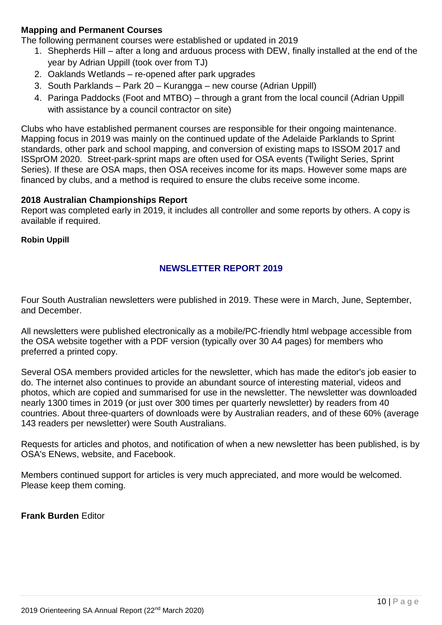#### **Mapping and Permanent Courses**

The following permanent courses were established or updated in 2019

- 1. Shepherds Hill after a long and arduous process with DEW, finally installed at the end of the year by Adrian Uppill (took over from TJ)
- 2. Oaklands Wetlands re-opened after park upgrades
- 3. South Parklands Park 20 Kurangga new course (Adrian Uppill)
- 4. Paringa Paddocks (Foot and MTBO) through a grant from the local council (Adrian Uppill with assistance by a council contractor on site)

Clubs who have established permanent courses are responsible for their ongoing maintenance. Mapping focus in 2019 was mainly on the continued update of the Adelaide Parklands to Sprint standards, other park and school mapping, and conversion of existing maps to ISSOM 2017 and ISSprOM 2020. Street-park-sprint maps are often used for OSA events (Twilight Series, Sprint Series). If these are OSA maps, then OSA receives income for its maps. However some maps are financed by clubs, and a method is required to ensure the clubs receive some income.

#### **2018 Australian Championships Report**

Report was completed early in 2019, it includes all controller and some reports by others. A copy is available if required.

**Robin Uppill**

#### **NEWSLETTER REPORT 2019**

Four South Australian newsletters were published in 2019. These were in March, June, September, and December.

All newsletters were published electronically as a mobile/PC-friendly html webpage accessible from the OSA website together with a PDF version (typically over 30 A4 pages) for members who preferred a printed copy.

Several OSA members provided articles for the newsletter, which has made the editor's job easier to do. The internet also continues to provide an abundant source of interesting material, videos and photos, which are copied and summarised for use in the newsletter. The newsletter was downloaded nearly 1300 times in 2019 (or just over 300 times per quarterly newsletter) by readers from 40 countries. About three-quarters of downloads were by Australian readers, and of these 60% (average 143 readers per newsletter) were South Australians.

Requests for articles and photos, and notification of when a new newsletter has been published, is by OSA's ENews, website, and Facebook.

Members continued support for articles is very much appreciated, and more would be welcomed. Please keep them coming.

**Frank Burden** Editor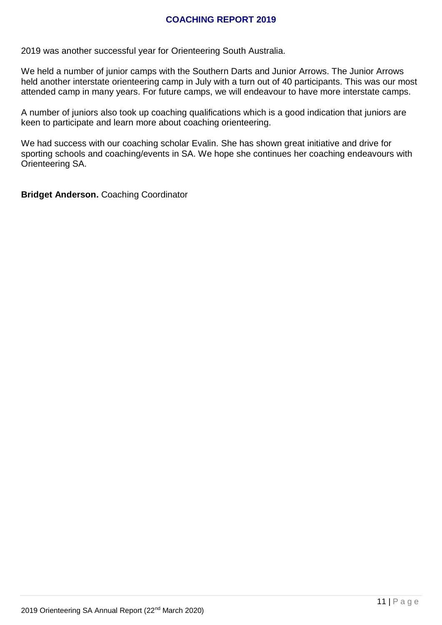#### **COACHING REPORT 2019**

2019 was another successful year for Orienteering South Australia.

We held a number of junior camps with the Southern Darts and Junior Arrows. The Junior Arrows held another interstate orienteering camp in July with a turn out of 40 participants. This was our most attended camp in many years. For future camps, we will endeavour to have more interstate camps.

A number of juniors also took up coaching qualifications which is a good indication that juniors are keen to participate and learn more about coaching orienteering.

We had success with our coaching scholar Evalin. She has shown great initiative and drive for sporting schools and coaching/events in SA. We hope she continues her coaching endeavours with Orienteering SA.

**Bridget Anderson.** Coaching Coordinator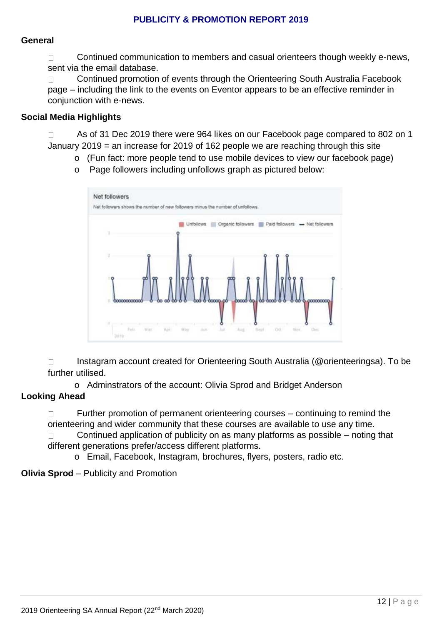#### **PUBLICITY & PROMOTION REPORT 2019**

#### **General**

 $\Box$  Continued communication to members and casual orienteers though weekly e-news, sent via the email database.

 $\Box$  Continued promotion of events through the Orienteering South Australia Facebook page – including the link to the events on Eventor appears to be an effective reminder in conjunction with e-news.

#### **Social Media Highlights**

□ As of 31 Dec 2019 there were 964 likes on our Facebook page compared to 802 on 1 January 2019 = an increase for 2019 of 162 people we are reaching through this site

- o (Fun fact: more people tend to use mobile devices to view our facebook page)
	- Net followers Net followers shows the number of new followers minus the number of unfollows In Unfollows Crganic followers C Paid followers - Net followers
- o Page followers including unfollows graph as pictured below:

 Instagram account created for Orienteering South Australia (@orienteeringsa). To be further utilised.

o Adminstrators of the account: Olivia Sprod and Bridget Anderson

#### **Looking Ahead**

 $\Box$  Further promotion of permanent orienteering courses – continuing to remind the orienteering and wider community that these courses are available to use any time.

 $\Box$  Continued application of publicity on as many platforms as possible – noting that different generations prefer/access different platforms.

o Email, Facebook, Instagram, brochures, flyers, posters, radio etc.

#### **Olivia Sprod** – Publicity and Promotion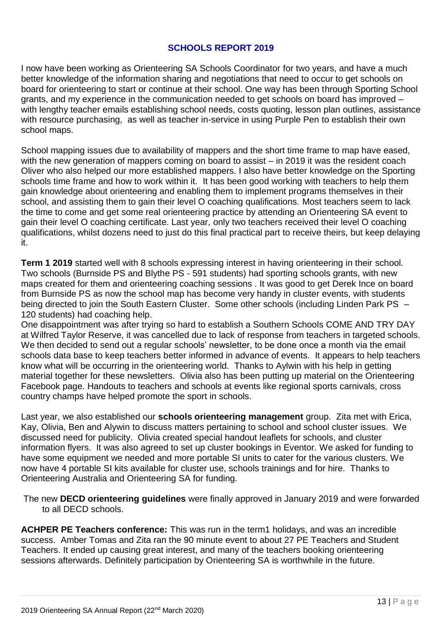#### **SCHOOLS REPORT 2019**

I now have been working as Orienteering SA Schools Coordinator for two years, and have a much better knowledge of the information sharing and negotiations that need to occur to get schools on board for orienteering to start or continue at their school. One way has been through Sporting School grants, and my experience in the communication needed to get schools on board has improved – with lengthy teacher emails establishing school needs, costs quoting, lesson plan outlines, assistance with resource purchasing, as well as teacher in-service in using Purple Pen to establish their own school maps.

School mapping issues due to availability of mappers and the short time frame to map have eased, with the new generation of mappers coming on board to assist – in 2019 it was the resident coach Oliver who also helped our more established mappers. I also have better knowledge on the Sporting schools time frame and how to work within it. It has been good working with teachers to help them gain knowledge about orienteering and enabling them to implement programs themselves in their school, and assisting them to gain their level O coaching qualifications. Most teachers seem to lack the time to come and get some real orienteering practice by attending an Orienteering SA event to gain their level O coaching certificate. Last year, only two teachers received their level O coaching qualifications, whilst dozens need to just do this final practical part to receive theirs, but keep delaying it.

**Term 1 2019** started well with 8 schools expressing interest in having orienteering in their school. Two schools (Burnside PS and Blythe PS - 591 students) had sporting schools grants, with new maps created for them and orienteering coaching sessions . It was good to get Derek Ince on board from Burnside PS as now the school map has become very handy in cluster events, with students being directed to join the South Eastern Cluster. Some other schools (including Linden Park PS – 120 students) had coaching help.

One disappointment was after trying so hard to establish a Southern Schools COME AND TRY DAY at Wilfred Taylor Reserve, it was cancelled due to lack of response from teachers in targeted schools. We then decided to send out a regular schools' newsletter, to be done once a month via the email schools data base to keep teachers better informed in advance of events. It appears to help teachers know what will be occurring in the orienteering world. Thanks to Aylwin with his help in getting material together for these newsletters. Olivia also has been putting up material on the Orienteering Facebook page. Handouts to teachers and schools at events like regional sports carnivals, cross country champs have helped promote the sport in schools.

Last year, we also established our **schools orienteering management** group. Zita met with Erica, Kay, Olivia, Ben and Alywin to discuss matters pertaining to school and school cluster issues. We discussed need for publicity. Olivia created special handout leaflets for schools, and cluster information flyers. It was also agreed to set up cluster bookings in Eventor. We asked for funding to have some equipment we needed and more portable SI units to cater for the various clusters. We now have 4 portable SI kits available for cluster use, schools trainings and for hire. Thanks to Orienteering Australia and Orienteering SA for funding.

The new **DECD orienteering guidelines** were finally approved in January 2019 and were forwarded to all DECD schools.

**ACHPER PE Teachers conference:** This was run in the term1 holidays, and was an incredible success. Amber Tomas and Zita ran the 90 minute event to about 27 PE Teachers and Student Teachers. It ended up causing great interest, and many of the teachers booking orienteering sessions afterwards. Definitely participation by Orienteering SA is worthwhile in the future.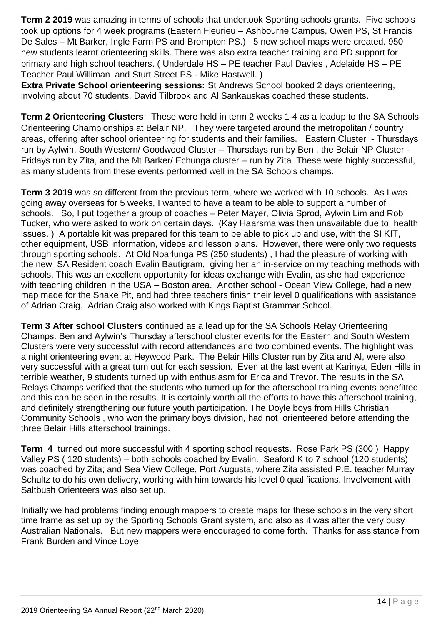**Term 2 2019** was amazing in terms of schools that undertook Sporting schools grants. Five schools took up options for 4 week programs (Eastern Fleurieu – Ashbourne Campus, Owen PS, St Francis De Sales – Mt Barker, Ingle Farm PS and Brompton PS.) 5 new school maps were created. 950 new students learnt orienteering skills. There was also extra teacher training and PD support for primary and high school teachers. ( Underdale HS – PE teacher Paul Davies , Adelaide HS – PE Teacher Paul Williman and Sturt Street PS - Mike Hastwell. )

**Extra Private School orienteering sessions:** St Andrews School booked 2 days orienteering, involving about 70 students. David Tilbrook and Al Sankauskas coached these students.

**Term 2 Orienteering Clusters**: These were held in term 2 weeks 1-4 as a leadup to the SA Schools Orienteering Championships at Belair NP. They were targeted around the metropolitan / country areas, offering after school orienteering for students and their families. Eastern Cluster - Thursdays run by Aylwin, South Western/ Goodwood Cluster – Thursdays run by Ben , the Belair NP Cluster - Fridays run by Zita, and the Mt Barker/ Echunga cluster – run by Zita These were highly successful, as many students from these events performed well in the SA Schools champs.

**Term 3 2019** was so different from the previous term, where we worked with 10 schools. As I was going away overseas for 5 weeks, I wanted to have a team to be able to support a number of schools. So, I put together a group of coaches – Peter Mayer, Olivia Sprod, Aylwin Lim and Rob Tucker, who were asked to work on certain days. (Kay Haarsma was then unavailable due to health issues. ) A portable kit was prepared for this team to be able to pick up and use, with the SI KIT, other equipment, USB information, videos and lesson plans. However, there were only two requests through sporting schools. At Old Noarlunga PS (250 students) , I had the pleasure of working with the new SA Resident coach Evalin Bautigram, giving her an in-service on my teaching methods with schools. This was an excellent opportunity for ideas exchange with Evalin, as she had experience with teaching children in the USA – Boston area. Another school - Ocean View College, had a new map made for the Snake Pit, and had three teachers finish their level 0 qualifications with assistance of Adrian Craig. Adrian Craig also worked with Kings Baptist Grammar School.

**Term 3 After school Clusters** continued as a lead up for the SA Schools Relay Orienteering Champs. Ben and Aylwin's Thursday afterschool cluster events for the Eastern and South Western Clusters were very successful with record attendances and two combined events. The highlight was a night orienteering event at Heywood Park. The Belair Hills Cluster run by Zita and Al, were also very successful with a great turn out for each session. Even at the last event at Karinya, Eden Hills in terrible weather, 9 students turned up with enthusiasm for Erica and Trevor. The results in the SA Relays Champs verified that the students who turned up for the afterschool training events benefitted and this can be seen in the results. It is certainly worth all the efforts to have this afterschool training, and definitely strengthening our future youth participation. The Doyle boys from Hills Christian Community Schools , who won the primary boys division, had not orienteered before attending the three Belair Hills afterschool trainings.

**Term 4** turned out more successful with 4 sporting school requests. Rose Park PS (300 ) Happy Valley PS ( 120 students) – both schools coached by Evalin. Seaford K to 7 school (120 students) was coached by Zita; and Sea View College, Port Augusta, where Zita assisted P.E. teacher Murray Schultz to do his own delivery, working with him towards his level 0 qualifications. Involvement with Saltbush Orienteers was also set up.

Initially we had problems finding enough mappers to create maps for these schools in the very short time frame as set up by the Sporting Schools Grant system, and also as it was after the very busy Australian Nationals. But new mappers were encouraged to come forth. Thanks for assistance from Frank Burden and Vince Loye.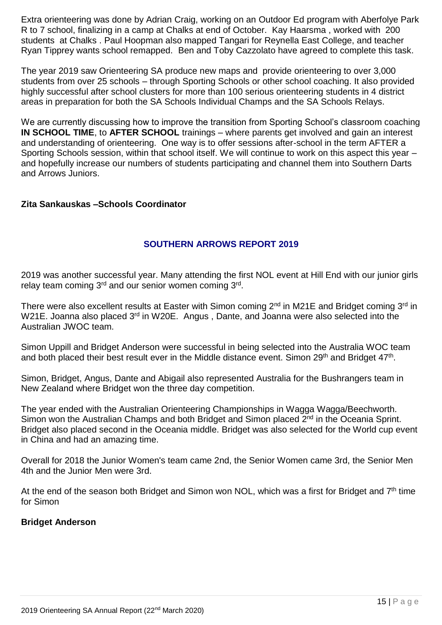Extra orienteering was done by Adrian Craig, working on an Outdoor Ed program with Aberfolye Park R to 7 school, finalizing in a camp at Chalks at end of October. Kay Haarsma , worked with 200 students at Chalks . Paul Hoopman also mapped Tangari for Reynella East College, and teacher Ryan Tipprey wants school remapped. Ben and Toby Cazzolato have agreed to complete this task.

The year 2019 saw Orienteering SA produce new maps and provide orienteering to over 3,000 students from over 25 schools – through Sporting Schools or other school coaching. It also provided highly successful after school clusters for more than 100 serious orienteering students in 4 district areas in preparation for both the SA Schools Individual Champs and the SA Schools Relays.

We are currently discussing how to improve the transition from Sporting School's classroom coaching **IN SCHOOL TIME**, to **AFTER SCHOOL** trainings – where parents get involved and gain an interest and understanding of orienteering. One way is to offer sessions after-school in the term AFTER a Sporting Schools session, within that school itself. We will continue to work on this aspect this year – and hopefully increase our numbers of students participating and channel them into Southern Darts and Arrows Juniors.

#### **Zita Sankauskas –Schools Coordinator**

#### **SOUTHERN ARROWS REPORT 2019**

2019 was another successful year. Many attending the first NOL event at Hill End with our junior girls relay team coming 3<sup>rd</sup> and our senior women coming 3<sup>rd</sup>.

There were also excellent results at Easter with Simon coming 2<sup>nd</sup> in M21E and Bridget coming 3<sup>rd</sup> in W21E. Joanna also placed 3<sup>rd</sup> in W20E. Angus, Dante, and Joanna were also selected into the Australian JWOC team.

Simon Uppill and Bridget Anderson were successful in being selected into the Australia WOC team and both placed their best result ever in the Middle distance event. Simon 29<sup>th</sup> and Bridget 47<sup>th</sup>.

Simon, Bridget, Angus, Dante and Abigail also represented Australia for the Bushrangers team in New Zealand where Bridget won the three day competition.

The year ended with the Australian Orienteering Championships in Wagga Wagga/Beechworth. Simon won the Australian Champs and both Bridget and Simon placed 2<sup>nd</sup> in the Oceania Sprint. Bridget also placed second in the Oceania middle. Bridget was also selected for the World cup event in China and had an amazing time.

Overall for 2018 the Junior Women's team came 2nd, the Senior Women came 3rd, the Senior Men 4th and the Junior Men were 3rd.

At the end of the season both Bridget and Simon won NOL, which was a first for Bridget and 7<sup>th</sup> time for Simon

#### **Bridget Anderson**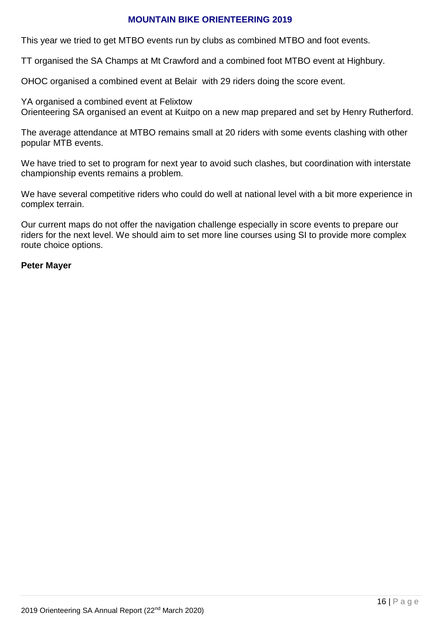#### **MOUNTAIN BIKE ORIENTEERING 2019**

This year we tried to get MTBO events run by clubs as combined MTBO and foot events.

TT organised the SA Champs at Mt Crawford and a combined foot MTBO event at Highbury.

OHOC organised a combined event at Belair with 29 riders doing the score event.

YA organised a combined event at Felixtow Orienteering SA organised an event at Kuitpo on a new map prepared and set by Henry Rutherford.

The average attendance at MTBO remains small at 20 riders with some events clashing with other popular MTB events.

We have tried to set to program for next year to avoid such clashes, but coordination with interstate championship events remains a problem.

We have several competitive riders who could do well at national level with a bit more experience in complex terrain.

Our current maps do not offer the navigation challenge especially in score events to prepare our riders for the next level. We should aim to set more line courses using SI to provide more complex route choice options.

#### **Peter Mayer**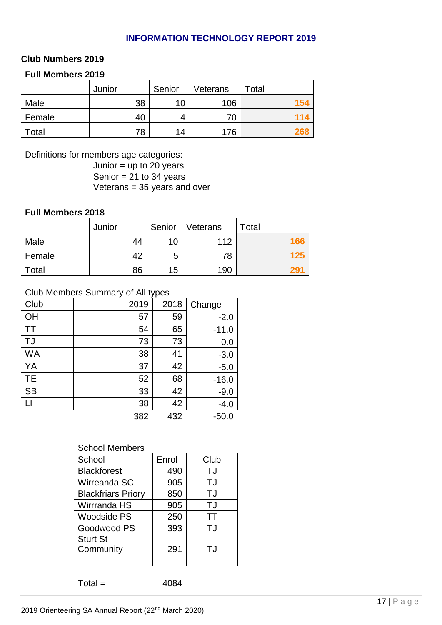#### **INFORMATION TECHNOLOGY REPORT 2019**

#### **Club Numbers 2019**

#### **Full Members 2019**

|        | Junior | Senior | Veterans | Total |
|--------|--------|--------|----------|-------|
| Male   | 38     | 10     | 106      | 154   |
| Female | 40     |        | 70       | 114   |
| Total  | 78     | 14     | 176      | યુક્ષ |

Definitions for members age categories:

Junior  $=$  up to 20 years Senior =  $21$  to 34 years Veterans =  $35$  years and over

#### **Full Members 2018**

|        | Junior | Senior | Veterans | Total |
|--------|--------|--------|----------|-------|
| Male   | 44     | 10     | 112      | 166   |
| Female | 42     | 5      | 78       | 125   |
| Total  | 86     | 15     | 190      |       |

#### Club Members Summary of All types

| Club      | 2019 | 2018 | Change  |
|-----------|------|------|---------|
| OH        | 57   | 59   | $-2.0$  |
| ТT        | 54   | 65   | $-11.0$ |
| TJ        | 73   | 73   | 0.0     |
| <b>WA</b> | 38   | 41   | $-3.0$  |
| YA        | 37   | 42   | $-5.0$  |
| <b>TE</b> | 52   | 68   | $-16.0$ |
| <b>SB</b> | 33   | 42   | $-9.0$  |
|           | 38   | 42   | $-4.0$  |
|           | 382  | 432  | $-50.0$ |

#### School Members

| School                    | Enrol | Club |
|---------------------------|-------|------|
| <b>Blackforest</b>        | 490   | TJ   |
| Wirreanda SC              | 905   | TJ   |
| <b>Blackfriars Priory</b> | 850   | TJ   |
| Wirrranda HS              | 905   | TJ   |
| Woodside PS               | 250   | ТT   |
| Goodwood PS               | 393   | TJ   |
| <b>Sturt St</b>           |       |      |
| Community                 | 291   | TJ   |
|                           |       |      |

 $Total =$  4084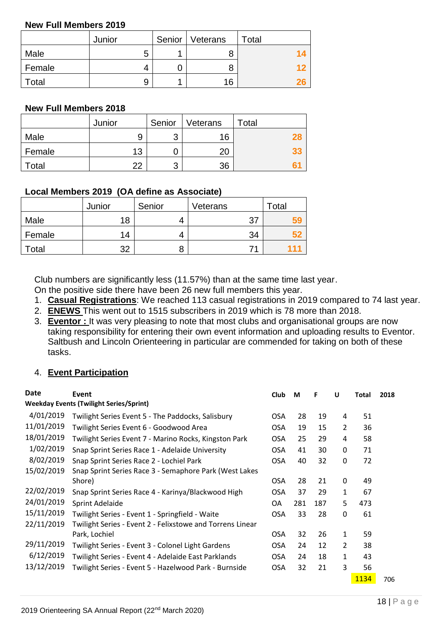#### **New Full Members 2019**

|        | Junior | Senior   Veterans | Total |
|--------|--------|-------------------|-------|
| Male   | 5      | 8                 |       |
| Female | 4      | 8                 |       |
| Total  | 9      | 16                |       |

#### **New Full Members 2018**

|        | Junior | Senior | Veterans | Total |
|--------|--------|--------|----------|-------|
| Male   | 9      | 3      | 16       |       |
| Female | 13     |        | 20       |       |
| Total  | つつ     | 3      | 36       |       |

#### **Local Members 2019 (OA define as Associate)**

|        | Junior | Senior | Veterans | Total |
|--------|--------|--------|----------|-------|
| Male   | 18     |        | 27       |       |
| Female | 14     |        | 34       |       |
| Total  | າາ     | 8      |          |       |

Club numbers are significantly less (11.57%) than at the same time last year.

On the positive side there have been 26 new full members this year.

- 1. **Casual Registrations**: We reached 113 casual registrations in 2019 compared to 74 last year.
- 2. **ENEWS** This went out to 1515 subscribers in 2019 which is 78 more than 2018.
- 3. **Eventor :** It was very pleasing to note that most clubs and organisational groups are now taking responsibility for entering their own event information and uploading results to Eventor. Saltbush and Lincoln Orienteering in particular are commended for taking on both of these tasks.

#### 4. **Event Participation**

| <b>Date</b> | Event                                                     | <b>Club</b> | M   | F   | U              | Total | 2018 |
|-------------|-----------------------------------------------------------|-------------|-----|-----|----------------|-------|------|
|             | <b>Weekday Events (Twilight Series/Sprint)</b>            |             |     |     |                |       |      |
| 4/01/2019   | Twilight Series Event 5 - The Paddocks, Salisbury         | <b>OSA</b>  | 28  | 19  | 4              | 51    |      |
| 11/01/2019  | Twilight Series Event 6 - Goodwood Area                   | OSA         | 19  | 15  | 2              | 36    |      |
| 18/01/2019  | Twilight Series Event 7 - Marino Rocks, Kingston Park     | <b>OSA</b>  | 25  | 29  | 4              | 58    |      |
| 1/02/2019   | Snap Sprint Series Race 1 - Adelaide University           | <b>OSA</b>  | 41  | 30  | 0              | 71    |      |
| 8/02/2019   | Snap Sprint Series Race 2 - Lochiel Park                  | <b>OSA</b>  | 40  | 32  | 0              | 72    |      |
| 15/02/2019  | Snap Sprint Series Race 3 - Semaphore Park (West Lakes    |             |     |     |                |       |      |
|             | Shore)                                                    | OSA.        | 28  | 21  | 0              | 49    |      |
| 22/02/2019  | Snap Sprint Series Race 4 - Karinya/Blackwood High        | <b>OSA</b>  | 37  | 29  | 1              | 67    |      |
| 24/01/2019  | Sprint Adelaide                                           | OA          | 281 | 187 | 5              | 473   |      |
| 15/11/2019  | Twilight Series - Event 1 - Springfield - Waite           | <b>OSA</b>  | 33  | 28  | 0              | 61    |      |
| 22/11/2019  | Twilight Series - Event 2 - Felixstowe and Torrens Linear |             |     |     |                |       |      |
|             | Park, Lochiel                                             | <b>OSA</b>  | 32  | 26  | $\mathbf{1}$   | 59    |      |
| 29/11/2019  | Twilight Series - Event 3 - Colonel Light Gardens         | OSA         | 24  | 12  | $\overline{2}$ | 38    |      |
| 6/12/2019   | Twilight Series - Event 4 - Adelaide East Parklands       | <b>OSA</b>  | 24  | 18  | $\mathbf{1}$   | 43    |      |
| 13/12/2019  | Twilight Series - Event 5 - Hazelwood Park - Burnside     | <b>OSA</b>  | 32  | 21  | 3              | 56    |      |
|             |                                                           |             |     |     |                | 1134  | 706  |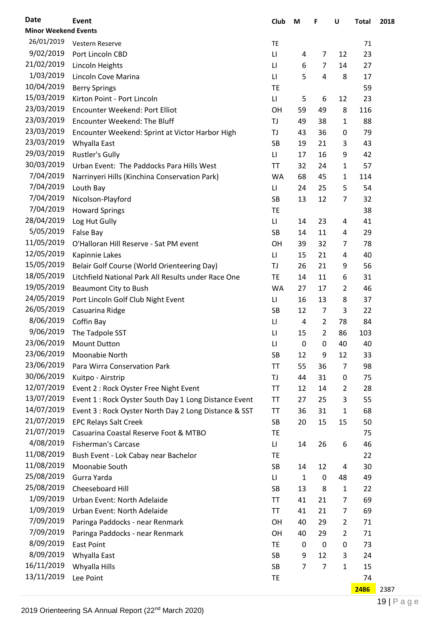| <b>Date</b>                 | Event                                                              | Club                   | M                   | F                | $\sf U$          | <b>Total</b> | 2018 |
|-----------------------------|--------------------------------------------------------------------|------------------------|---------------------|------------------|------------------|--------------|------|
| <b>Minor Weekend Events</b> |                                                                    |                        |                     |                  |                  |              |      |
| 26/01/2019                  | Vestern Reserve                                                    | TE                     |                     |                  |                  | 71           |      |
| 9/02/2019                   | Port Lincoln CBD                                                   | $\mathsf{L}\mathsf{I}$ | 4                   | 7                | 12               | 23           |      |
| 21/02/2019                  | Lincoln Heights                                                    | LI                     | 6                   | 7                | 14               | 27           |      |
| 1/03/2019                   | Lincoln Cove Marina                                                | LI                     | 5                   | 4                | 8                | 17           |      |
| 10/04/2019                  | <b>Berry Springs</b>                                               | <b>TE</b>              |                     |                  |                  | 59           |      |
| 15/03/2019                  | Kirton Point - Port Lincoln                                        | $\mathsf{L}\mathsf{I}$ | 5                   | 6                | 12               | 23           |      |
| 23/03/2019                  | Encounter Weekend: Port Elliot                                     | OH                     | 59                  | 49               | 8                | 116          |      |
| 23/03/2019                  | <b>Encounter Weekend: The Bluff</b>                                | TJ                     | 49                  | 38               | $\mathbf{1}$     | 88           |      |
| 23/03/2019                  | Encounter Weekend: Sprint at Victor Harbor High                    | TJ                     | 43                  | 36               | 0                | 79           |      |
| 23/03/2019                  | Whyalla East                                                       | <b>SB</b>              | 19                  | 21               | 3                | 43           |      |
| 29/03/2019                  | <b>Rustler's Gully</b>                                             | $\mathsf{L}\mathsf{I}$ | 17                  | 16               | 9                | 42           |      |
| 30/03/2019                  | Urban Event: The Paddocks Para Hills West                          | <b>TT</b>              | 32                  | 24               | $\mathbf{1}$     | 57           |      |
| 7/04/2019                   | Narrinyeri Hills (Kinchina Conservation Park)                      | WA                     | 68                  | 45               | $\mathbf{1}$     | 114          |      |
| 7/04/2019                   | Louth Bay                                                          | $\mathsf{L}\mathsf{I}$ | 24                  | 25               | 5                | 54           |      |
| 7/04/2019                   | Nicolson-Playford                                                  | <b>SB</b>              | 13                  | 12               | 7                | 32           |      |
| 7/04/2019                   | <b>Howard Springs</b>                                              | <b>TE</b>              |                     |                  |                  | 38           |      |
| 28/04/2019                  | Log Hut Gully                                                      | $\mathsf{L}\mathsf{I}$ | 14                  | 23               | 4                | 41           |      |
| 5/05/2019                   | False Bay                                                          | <b>SB</b>              | 14                  | 11               | 4                | 29           |      |
| 11/05/2019                  | O'Halloran Hill Reserve - Sat PM event                             | OH                     | 39                  | 32               | 7                | 78           |      |
| 12/05/2019                  | Kapinnie Lakes                                                     | LI                     | 15                  | 21               | 4                | 40           |      |
| 15/05/2019                  | Belair Golf Course (World Orienteering Day)                        | TJ                     | 26                  | 21               | 9                | 56           |      |
| 18/05/2019                  | Litchfield National Park All Results under Race One                | <b>TE</b>              | 14                  | 11               | 6                | 31           |      |
| 19/05/2019                  | Beaumont City to Bush                                              | WA                     | 27                  | 17               | $\overline{2}$   | 46           |      |
| 24/05/2019                  | Port Lincoln Golf Club Night Event                                 | П                      | 16                  | 13               | 8                | 37           |      |
| 26/05/2019                  | Casuarina Ridge                                                    | <b>SB</b>              | 12                  | $\overline{7}$   | 3                | 22           |      |
| 8/06/2019                   | Coffin Bay                                                         | $\mathsf{L}\mathsf{I}$ | 4                   | $\overline{2}$   | 78               | 84           |      |
| 9/06/2019                   | The Tadpole SST                                                    | LI                     | 15                  | $\overline{2}$   | 86               | 103          |      |
| 23/06/2019                  | <b>Mount Dutton</b>                                                | $\mathsf{L}\mathsf{I}$ | 0                   | 0                | 40               | 40           |      |
| 23/06/2019                  | Moonabie North                                                     | SB                     | 12                  | 9                | 12               | 33           |      |
| 23/06/2019                  | Para Wirra Conservation Park                                       | <b>TT</b>              | 55                  | 36               | 7                | 98           |      |
| 30/06/2019                  | Kuitpo - Airstrip                                                  | TJ                     | 44                  | 31               | 0                | 75           |      |
| 12/07/2019                  | Event 2 : Rock Oyster Free Night Event                             | <b>TT</b>              | 12                  | 14               | $\overline{2}$   | 28           |      |
| 13/07/2019                  | Event 1 : Rock Oyster South Day 1 Long Distance Event              | <b>TT</b>              | 27                  | 25               | 3                | 55           |      |
| 14/07/2019                  | Event 3 : Rock Oyster North Day 2 Long Distance & SST              | <b>TT</b>              | 36                  | 31               | $\mathbf{1}$     | 68           |      |
| 21/07/2019                  | <b>EPC Relays Salt Creek</b>                                       | <b>SB</b>              | 20                  | 15               | 15               | 50           |      |
| 21/07/2019                  | Casuarina Coastal Reserve Foot & MTBO                              | <b>TE</b>              |                     |                  |                  | 75           |      |
| 4/08/2019                   | <b>Fisherman's Carcase</b>                                         | LI                     | 14                  | 26               | 6                | 46           |      |
| 11/08/2019                  | Bush Event - Lok Cabay near Bachelor                               | <b>TE</b>              |                     |                  |                  | 22           |      |
| 11/08/2019                  | Moonabie South                                                     | <b>SB</b>              | 14                  | 12               | 4                | 30           |      |
| 25/08/2019                  | Gurra Yarda                                                        | LI                     | 1                   | 0                | 48               | 49           |      |
| 25/08/2019                  | Cheeseboard Hill                                                   | <b>SB</b>              | 13                  | 8                | $\mathbf{1}$     | 22           |      |
| 1/09/2019                   | Urban Event: North Adelaide                                        | <b>TT</b>              | 41                  | 21               | 7                | 69           |      |
| 1/09/2019                   | Urban Event: North Adelaide                                        | <b>TT</b>              | 41                  | 21               | 7                | 69           |      |
| 7/09/2019                   |                                                                    | OH                     | 40                  | 29               | $\overline{2}$   | 71           |      |
| 7/09/2019                   | Paringa Paddocks - near Renmark<br>Paringa Paddocks - near Renmark | OH                     | 40                  | 29               | $\overline{2}$   | 71           |      |
| 8/09/2019                   | <b>East Point</b>                                                  | TE                     |                     | $\boldsymbol{0}$ | 0                | 73           |      |
| 8/09/2019                   |                                                                    | <b>SB</b>              | 0                   | 12               |                  |              |      |
| 16/11/2019                  | Whyalla East                                                       | SB                     | 9<br>$\overline{7}$ | $\overline{7}$   | 3<br>$\mathbf 1$ | 24           |      |
| 13/11/2019                  | Whyalla Hills                                                      |                        |                     |                  |                  | 15           |      |
|                             | Lee Point                                                          | TE                     |                     |                  |                  | 74           |      |
|                             |                                                                    |                        |                     |                  |                  | 2486         | 2387 |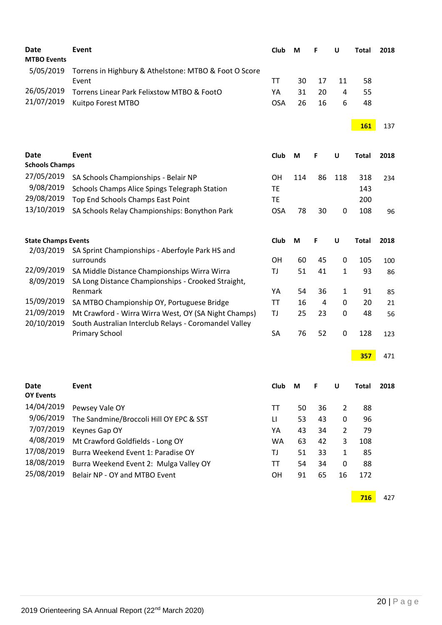| <b>Date</b><br><b>MTBO Events</b> | <b>Event</b>                                                                                                  | Club                   | М   | F  | U                | <b>Total</b> | 2018 |
|-----------------------------------|---------------------------------------------------------------------------------------------------------------|------------------------|-----|----|------------------|--------------|------|
| 5/05/2019                         | Torrens in Highbury & Athelstone: MTBO & Foot O Score<br>Event                                                | TT                     | 30  | 17 | 11               | 58           |      |
| 26/05/2019                        | Torrens Linear Park Felixstow MTBO & FootO                                                                    | YA                     | 31  | 20 | $\overline{4}$   | 55           |      |
| 21/07/2019                        | Kuitpo Forest MTBO                                                                                            | <b>OSA</b>             | 26  | 16 | 6                | 48           |      |
|                                   |                                                                                                               |                        |     |    |                  | <b>161</b>   | 137  |
| <b>Date</b>                       | <b>Event</b>                                                                                                  | Club                   | M   | F  | U                | <b>Total</b> | 2018 |
| <b>Schools Champs</b>             |                                                                                                               |                        |     |    |                  |              |      |
| 27/05/2019                        | SA Schools Championships - Belair NP                                                                          | OН                     | 114 | 86 | 118              | 318          | 234  |
| 9/08/2019                         | Schools Champs Alice Spings Telegraph Station                                                                 | TE                     |     |    |                  | 143          |      |
| 29/08/2019                        | Top End Schools Champs East Point                                                                             | <b>TE</b>              |     |    |                  | 200          |      |
| 13/10/2019                        | SA Schools Relay Championships: Bonython Park                                                                 | <b>OSA</b>             | 78  | 30 | $\boldsymbol{0}$ | 108          | 96   |
| <b>State Champs Events</b>        |                                                                                                               | Club                   | M   | F  | U                | <b>Total</b> | 2018 |
| 2/03/2019                         | SA Sprint Championships - Aberfoyle Park HS and                                                               |                        |     |    |                  |              |      |
|                                   | surrounds                                                                                                     | <b>OH</b>              | 60  | 45 | 0                | 105          | 100  |
| 22/09/2019<br>8/09/2019           | SA Middle Distance Championships Wirra Wirra<br>SA Long Distance Championships - Crooked Straight,            | TJ                     | 51  | 41 | $\mathbf 1$      | 93           | 86   |
|                                   | Renmark                                                                                                       | YA                     | 54  | 36 | $\mathbf{1}$     | 91           | 85   |
| 15/09/2019                        | SA MTBO Championship OY, Portuguese Bridge                                                                    | <b>TT</b>              | 16  | 4  | 0                | 20           | 21   |
| 21/09/2019<br>20/10/2019          | Mt Crawford - Wirra Wirra West, OY (SA Night Champs)<br>South Australian Interclub Relays - Coromandel Valley | TJ                     | 25  | 23 | $\boldsymbol{0}$ | 48           | 56   |
|                                   | <b>Primary School</b>                                                                                         | SA                     | 76  | 52 | $\boldsymbol{0}$ | 128          | 123  |
|                                   |                                                                                                               |                        |     |    |                  | 357          | 471  |
| <b>Date</b>                       | <b>Event</b>                                                                                                  | Club                   | М   | F  | U                | <b>Total</b> | 2018 |
| <b>OY Events</b>                  |                                                                                                               |                        |     |    |                  |              |      |
| 14/04/2019                        | Pewsey Vale OY                                                                                                | TΤ                     | 50  | 36 | $\overline{2}$   | 88           |      |
| 9/06/2019                         | The Sandmine/Broccoli Hill OY EPC & SST                                                                       | $\mathsf{L}\mathsf{L}$ | 53  | 43 | 0                | 96           |      |
| 7/07/2019                         | Keynes Gap OY                                                                                                 | YA                     | 43  | 34 | $\overline{2}$   | 79           |      |
| 4/08/2019                         | Mt Crawford Goldfields - Long OY                                                                              | <b>WA</b>              | 63  | 42 | 3                | 108          |      |
| 17/08/2019                        | Burra Weekend Event 1: Paradise OY                                                                            | TJ                     | 51  | 33 | $\mathbf{1}$     | 85           |      |
| 18/08/2019                        | Burra Weekend Event 2: Mulga Valley OY                                                                        | <b>TT</b>              | 54  | 34 | 0                | 88           |      |
| 25/08/2019                        | Belair NP - OY and MTBO Event                                                                                 | OH                     | 91  | 65 | 16               | 172          |      |
|                                   |                                                                                                               |                        |     |    |                  | 716          | 427  |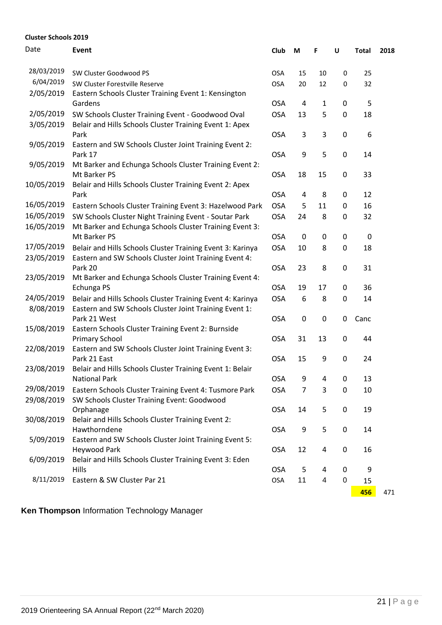#### **Cluster Schools 2019** Date **Event Club M F U Total 2018** 28/03/2019 SW Cluster Goodwood PS COSA 15 10 0 25 6/04/2019 SW Cluster Forestville Reserve **COSA** 20 12 0 32 2/05/2019 Eastern Schools Cluster Training Event 1: Kensington Gardens **Gardens** COSA 4 1 0 5 2/05/2019 SW Schools Cluster Training Event - Goodwood Oval 0SA 13 5 0 18 3/05/2019 Belair and Hills Schools Cluster Training Event 1: Apex Park 2008 - 2009 - 2009 - 2009 - 2009 - 2014 - 2014 - 2014 - 2014 - 2014 - 2014 - 2014 - 2014 - 2014 - 2014 - 20 9/05/2019 Eastern and SW Schools Cluster Joint Training Event 2: Park 17 **Details 17** OSA 9 5 0 14 9/05/2019 Mt Barker and Echunga Schools Cluster Training Event 2: Mt Barker PS OSA 18 15 0 33 10/05/2019 Belair and Hills Schools Cluster Training Event 2: Apex Park 2001 - 2002 - 2003 - 2004 - 2004 - 2014 - 2014 - 2014 - 2014 - 2014 - 2014 - 2014 - 2014 - 2014 - 2014 - 2 16/05/2019 Eastern Schools Cluster Training Event 3: Hazelwood Park OSA 5 11 0 16 16/05/2019 SW Schools Cluster Night Training Event - Soutar Park OSA 24 8 0 32 16/05/2019 Mt Barker and Echunga Schools Cluster Training Event 3: Mt Barker PS OSA 0 0 0 0 17/05/2019 Belair and Hills Schools Cluster Training Event 3: Karinya OSA 10 8 0 18 23/05/2019 Eastern and SW Schools Cluster Joint Training Event 4: Park 20 **Dans** 23 8 0 31 23/05/2019 Mt Barker and Echunga Schools Cluster Training Event 4: Echunga PS **Changa PS COSA** 19 17 0 36 24/05/2019 Belair and Hills Schools Cluster Training Event 4: Karinya OSA 6 8 0 14 8/08/2019 Eastern and SW Schools Cluster Joint Training Event 1: Park 21 West **OSA** 0 0 0 Canc 15/08/2019 Eastern Schools Cluster Training Event 2: Burnside Primary School **Canadian Community** COSA 31 13 0 44 22/08/2019 Eastern and SW Schools Cluster Joint Training Event 3: Park 21 East 20 24 23/08/2019 Belair and Hills Schools Cluster Training Event 1: Belair National Park **COSA** 9 4 0 13 29/08/2019 Eastern Schools Cluster Training Event 4: Tusmore Park OSA 7 3 0 10 29/08/2019 SW Schools Cluster Training Event: Goodwood Orphanage OSA 14 5 0 19 30/08/2019 Belair and Hills Schools Cluster Training Event 2: Hawthorndene OSA 9 5 0 14 5/09/2019 Eastern and SW Schools Cluster Joint Training Event 5: Heywood Park **Contract Contract Contract Contract Contract Contract Contract Contract Contract Contract Contract Contract Contract Contract Contract Contract Contract Contract Contract Contract Contract Contract Contract C** 6/09/2019 Belair and Hills Schools Cluster Training Event 3: Eden Hills OSA 5 4 0 9 8/11/2019 Eastern & SW Cluster Par 21 OSA 11 4 0 15

**Ken Thompson** Information Technology Manager

**456** 471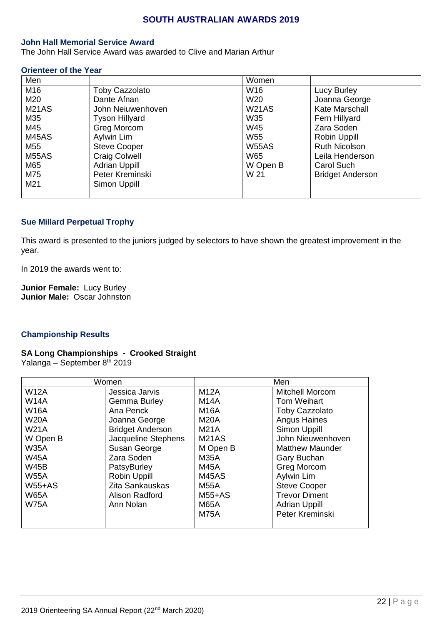#### **SOUTH AUSTRALIAN AWARDS 2019**

#### **John Hall Memorial Service Award**

The John Hall Service Award was awarded to Clive and Marian Arthur

#### **Orienteer of the Year**

| Men                |                       | Women           |                         |
|--------------------|-----------------------|-----------------|-------------------------|
| M16                | <b>Toby Cazzolato</b> | W16             | Lucy Burley             |
| M20                | Dante Afnan           | W <sub>20</sub> | Joanna George           |
| M <sub>21</sub> AS | John Neiuwenhoven     | W21AS           | Kate Marschall          |
| M35                | <b>Tyson Hillyard</b> | W35             | Fern Hillyard           |
| M45                | Greg Morcom           | W45             | Zara Soden              |
| M45AS              | Aylwin Lim            | <b>W55</b>      | Robin Uppill            |
| M <sub>55</sub>    | <b>Steve Cooper</b>   | <b>W55AS</b>    | <b>Ruth Nicolson</b>    |
| <b>M55AS</b>       | <b>Craig Colwell</b>  | W65             | Leila Henderson         |
| M65                | <b>Adrian Uppill</b>  | W Open B        | Carol Such              |
| M75                | Peter Kreminski       | W 21            | <b>Bridget Anderson</b> |
| M <sub>21</sub>    | Simon Uppill          |                 |                         |
|                    |                       |                 |                         |

#### **Sue Millard Perpetual Trophy**

This award is presented to the juniors judged by selectors to have shown the greatest improvement in the year.

In 2019 the awards went to:

**Junior Female:** Lucy Burley **Junior Male:** Oscar Johnston

#### **Championship Results**

#### **SA Long Championships - Crooked Straight** Yalanga – September 8th 2019

|             | Women                   |                    | Men                    |
|-------------|-------------------------|--------------------|------------------------|
| <b>W12A</b> | Jessica Jarvis          | <b>M12A</b>        | <b>Mitchell Morcom</b> |
| <b>W14A</b> | Gemma Burley            | <b>M14A</b>        | <b>Tom Weihart</b>     |
| <b>W16A</b> | Ana Penck               | <b>M16A</b>        | <b>Toby Cazzolato</b>  |
| <b>W20A</b> | Joanna George           | <b>M20A</b>        | <b>Angus Haines</b>    |
| <b>W21A</b> | <b>Bridget Anderson</b> | <b>M21A</b>        | Simon Uppill           |
| W Open B    | Jacqueline Stephens     | M <sub>21</sub> AS | John Nieuwenhoven      |
| <b>W35A</b> | Susan George            | M Open B           | <b>Matthew Maunder</b> |
| <b>W45A</b> | Zara Soden              | <b>M35A</b>        | Gary Buchan            |
| <b>W45B</b> | PatsyBurley             | <b>M45A</b>        | Greg Morcom            |
| <b>W55A</b> | Robin Uppill            | M45AS              | Aylwin Lim             |
| $W55+AS$    | Zita Sankauskas         | M55A               | <b>Steve Cooper</b>    |
| <b>W65A</b> | Alison Radford          | $M55+AS$           | <b>Trevor Diment</b>   |
| <b>W75A</b> | Ann Nolan               | <b>M65A</b>        | <b>Adrian Uppill</b>   |
|             |                         | <b>M75A</b>        | Peter Kreminski        |
|             |                         |                    |                        |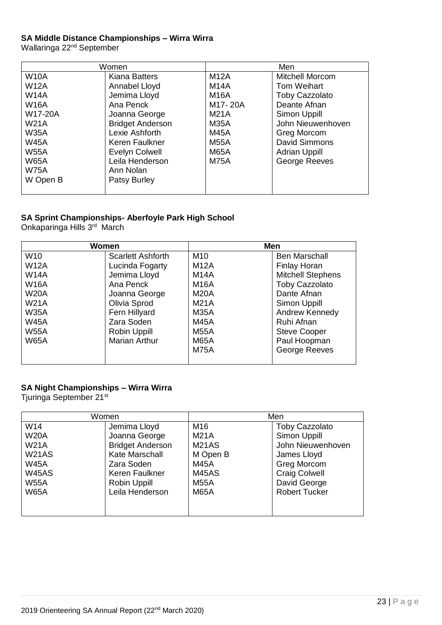#### **SA Middle Distance Championships – Wirra Wirra**

Wallaringa 22<sup>nd</sup> September

|             | Women                   |             | Men                   |
|-------------|-------------------------|-------------|-----------------------|
| <b>W10A</b> | <b>Kiana Batters</b>    | <b>M12A</b> | Mitchell Morcom       |
| <b>W12A</b> | Annabel Lloyd           | <b>M14A</b> | <b>Tom Weihart</b>    |
| <b>W14A</b> | Jemima Lloyd            | <b>M16A</b> | <b>Toby Cazzolato</b> |
| <b>W16A</b> | Ana Penck               | M17-20A     | Deante Afnan          |
| W17-20A     | Joanna George           | <b>M21A</b> | Simon Uppill          |
| <b>W21A</b> | <b>Bridget Anderson</b> | <b>M35A</b> | John Nieuwenhoven     |
| <b>W35A</b> | Lexie Ashforth          | <b>M45A</b> | Greg Morcom           |
| <b>W45A</b> | Keren Faulkner          | <b>M55A</b> | David Simmons         |
| <b>W55A</b> | Evelyn Colwell          | <b>M65A</b> | <b>Adrian Uppill</b>  |
| <b>W65A</b> | Leila Henderson         | <b>M75A</b> | George Reeves         |
| <b>W75A</b> | Ann Nolan               |             |                       |
| W Open B    | Patsy Burley            |             |                       |
|             |                         |             |                       |

#### **SA Sprint Championships- Aberfoyle Park High School**

Onkaparinga Hills 3<sup>rd</sup> March

| Women       |                          | Men             |                          |
|-------------|--------------------------|-----------------|--------------------------|
| W10         | <b>Scarlett Ashforth</b> | M <sub>10</sub> | <b>Ben Marschall</b>     |
| <b>W12A</b> | Lucinda Fogarty          | <b>M12A</b>     | <b>Finlay Horan</b>      |
| <b>W14A</b> | Jemima Lloyd             | <b>M14A</b>     | <b>Mitchell Stephens</b> |
| <b>W16A</b> | Ana Penck                | <b>M16A</b>     | <b>Toby Cazzolato</b>    |
| <b>W20A</b> | Joanna George            | <b>M20A</b>     | Dante Afnan              |
| <b>W21A</b> | Olivia Sprod             | <b>M21A</b>     | Simon Uppill             |
| <b>W35A</b> | Fern Hillyard            | <b>M35A</b>     | Andrew Kennedy           |
| <b>W45A</b> | Zara Soden               | M45A            | Ruhi Afnan               |
| <b>W55A</b> | Robin Uppill             | <b>M55A</b>     | <b>Steve Cooper</b>      |
| <b>W65A</b> | <b>Marian Arthur</b>     | <b>M65A</b>     | Paul Hoopman             |
|             |                          | <b>M75A</b>     | George Reeves            |
|             |                          |                 |                          |

#### **SA Night Championships – Wirra Wirra**

Tjuringa September 21st

|              | Women                   |                    | Men                   |
|--------------|-------------------------|--------------------|-----------------------|
| W14          | Jemima Lloyd            | M16                | <b>Toby Cazzolato</b> |
| <b>W20A</b>  | Joanna George           | <b>M21A</b>        | Simon Uppill          |
| <b>W21A</b>  | <b>Bridget Anderson</b> | M <sub>21</sub> AS | John Nieuwenhoven     |
| <b>W21AS</b> | Kate Marschall          | M Open B           | James Lloyd           |
| <b>W45A</b>  | Zara Soden              | <b>M45A</b>        | Greg Morcom           |
| <b>W45AS</b> | Keren Faulkner          | M45AS              | <b>Craig Colwell</b>  |
| <b>W55A</b>  | Robin Uppill            | <b>M55A</b>        | David George          |
| <b>W65A</b>  | Leila Henderson         | <b>M65A</b>        | <b>Robert Tucker</b>  |
|              |                         |                    |                       |
|              |                         |                    |                       |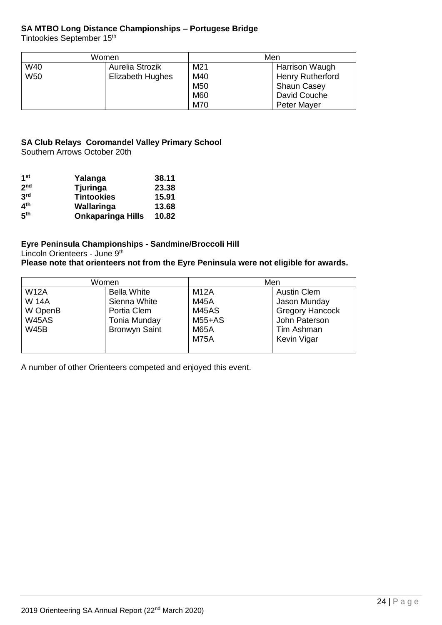#### **SA MTBO Long Distance Championships – Portugese Bridge**

Tintookies September 15<sup>th</sup>

| Women |                  |                 | Men                |
|-------|------------------|-----------------|--------------------|
| W40   | Aurelia Strozik  | M <sub>21</sub> | Harrison Waugh     |
| W50   | Elizabeth Hughes | M40             | Henry Rutherford   |
|       |                  | M <sub>50</sub> | <b>Shaun Casey</b> |
|       |                  | M60             | David Couche       |
|       |                  | M70             | Peter Mayer        |

#### **SA Club Relays Coromandel Valley Primary School**

Southern Arrows October 20th

| 1 <sup>st</sup> | Yalanga                  | 38.11 |
|-----------------|--------------------------|-------|
| 2 <sub>nd</sub> | Tjuringa                 | 23.38 |
| 3 <sup>rd</sup> | <b>Tintookies</b>        | 15.91 |
| ⊿th             | Wallaringa               | 13.68 |
| 5 <sup>th</sup> | <b>Onkaparinga Hills</b> | 10.82 |

#### **Eyre Peninsula Championships - Sandmine/Broccoli Hill**

Lincoln Orienteers - June 9<sup>th</sup>

**Please note that orienteers not from the Eyre Peninsula were not eligible for awards.**

| Women        |                      | Men          |                        |  |
|--------------|----------------------|--------------|------------------------|--|
| <b>W12A</b>  | <b>Bella White</b>   | <b>M12A</b>  | <b>Austin Clem</b>     |  |
| <b>W14A</b>  | Sienna White         | <b>M45A</b>  | Jason Munday           |  |
| W OpenB      | Portia Clem          | <b>M45AS</b> | <b>Gregory Hancock</b> |  |
| <b>W45AS</b> | Tonia Munday         | $M55+AS$     | John Paterson          |  |
| <b>W45B</b>  | <b>Bronwyn Saint</b> | <b>M65A</b>  | Tim Ashman             |  |
|              |                      | <b>M75A</b>  | Kevin Vigar            |  |
|              |                      |              |                        |  |

A number of other Orienteers competed and enjoyed this event.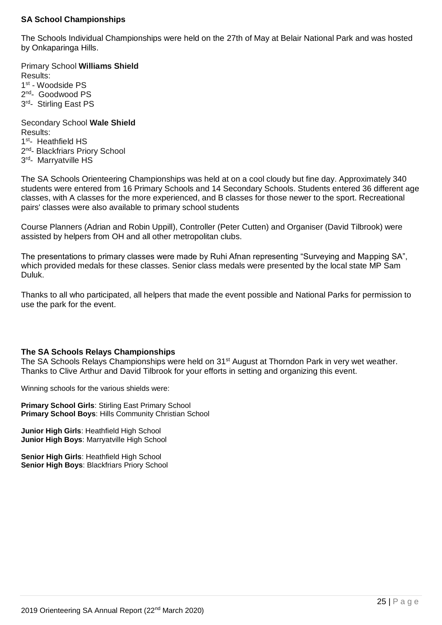#### **SA School Championships**

The Schools Individual Championships were held on the 27th of May at Belair National Park and was hosted by Onkaparinga Hills.

Primary School **Williams Shield** Results: 1st - Woodside PS 2<sup>nd</sup>- Goodwood PS 3<sup>rd</sup>- Stirling East PS Secondary School **Wale Shield**

Results: 1<sup>st</sup>- Heathfield HS 2<sup>nd</sup>- Blackfriars Priory School 3<sup>rd</sup>- Marryatville HS

The SA Schools Orienteering Championships was held at on a cool cloudy but fine day. Approximately 340 students were entered from 16 Primary Schools and 14 Secondary Schools. Students entered 36 different age classes, with A classes for the more experienced, and B classes for those newer to the sport. Recreational pairs' classes were also available to primary school students

Course Planners (Adrian and Robin Uppill), Controller (Peter Cutten) and Organiser (David Tilbrook) were assisted by helpers from OH and all other metropolitan clubs.

The presentations to primary classes were made by Ruhi Afnan representing "Surveying and Mapping SA", which provided medals for these classes. Senior class medals were presented by the local state MP Sam Duluk.

Thanks to all who participated, all helpers that made the event possible and National Parks for permission to use the park for the event.

#### **The SA Schools Relays Championships**

The SA Schools Relays Championships were held on 31<sup>st</sup> August at Thorndon Park in very wet weather. Thanks to Clive Arthur and David Tilbrook for your efforts in setting and organizing this event.

Winning schools for the various shields were:

**Primary School Girls**: Stirling East Primary School **Primary School Boys**: Hills Community Christian School

**Junior High Girls**: Heathfield High School **Junior High Boys**: Marryatville High School

**Senior High Girls**: Heathfield High School **Senior High Boys**: Blackfriars Priory School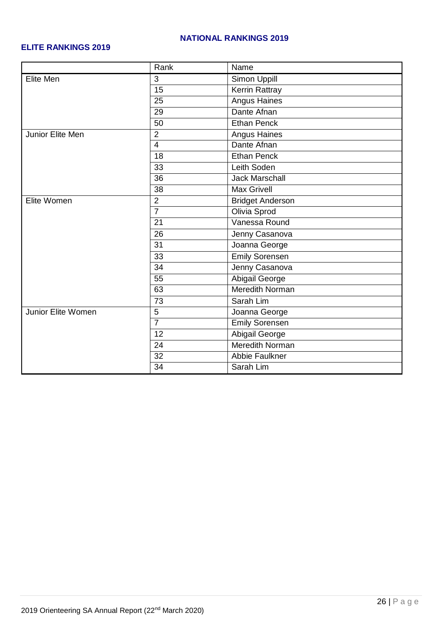#### **NATIONAL RANKINGS 2019**

#### **ELITE RANKINGS 2019**

|                           | Rank            | Name                    |  |
|---------------------------|-----------------|-------------------------|--|
| <b>Elite Men</b>          | 3               | Simon Uppill            |  |
|                           | $\overline{15}$ | <b>Kerrin Rattray</b>   |  |
|                           | 25              | <b>Angus Haines</b>     |  |
|                           | 29              | Dante Afnan             |  |
|                           | 50              | <b>Ethan Penck</b>      |  |
| Junior Elite Men          | $\overline{2}$  | Angus Haines            |  |
|                           | $\overline{4}$  | Dante Afnan             |  |
|                           | 18              | <b>Ethan Penck</b>      |  |
|                           | 33              | Leith Soden             |  |
|                           | $\overline{36}$ | <b>Jack Marschall</b>   |  |
|                           | $\overline{38}$ | <b>Max Grivell</b>      |  |
| Elite Women               | $\overline{2}$  | <b>Bridget Anderson</b> |  |
|                           | $\overline{7}$  | Olivia Sprod            |  |
|                           | $\overline{21}$ | Vanessa Round           |  |
|                           | $\overline{26}$ | Jenny Casanova          |  |
|                           | 31              | Joanna George           |  |
|                           | 33              | <b>Emily Sorensen</b>   |  |
|                           | 34              | Jenny Casanova          |  |
|                           | 55              | <b>Abigail George</b>   |  |
|                           | 63              | <b>Meredith Norman</b>  |  |
|                           | 73              | Sarah Lim               |  |
| <b>Junior Elite Women</b> | 5               | Joanna George           |  |
|                           | $\overline{7}$  | <b>Emily Sorensen</b>   |  |
|                           | 12              | Abigail George          |  |
|                           | 24              | Meredith Norman         |  |
|                           | $\overline{32}$ | <b>Abbie Faulkner</b>   |  |
|                           | 34              | Sarah Lim               |  |